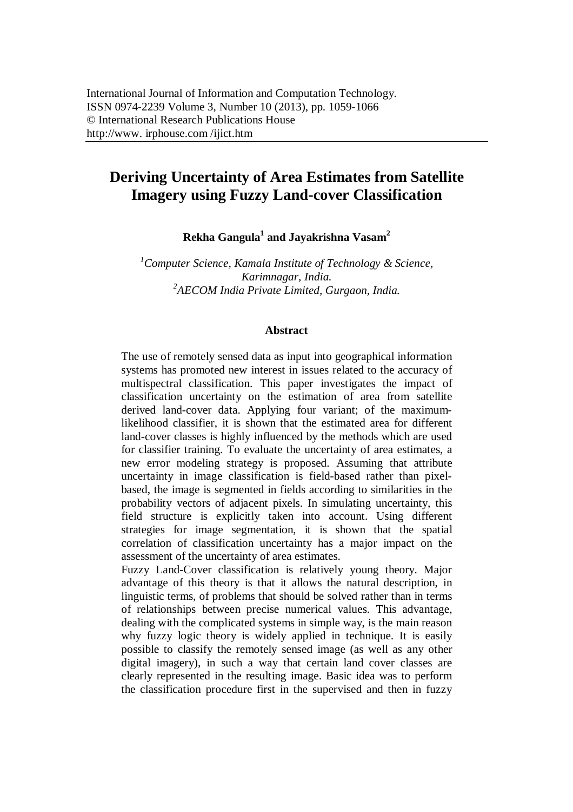# **Deriving Uncertainty of Area Estimates from Satellite Imagery using Fuzzy Land-cover Classification**

**Rekha Gangula<sup>1</sup> and Jayakrishna Vasam<sup>2</sup>**

*<sup>1</sup>Computer Science, Kamala Institute of Technology & Science, Karimnagar, India. 2 AECOM India Private Limited, Gurgaon, India.*

#### **Abstract**

The use of remotely sensed data as input into geographical information systems has promoted new interest in issues related to the accuracy of multispectral classification. This paper investigates the impact of classification uncertainty on the estimation of area from satellite derived land-cover data. Applying four variant; of the maximumlikelihood classifier, it is shown that the estimated area for different land-cover classes is highly influenced by the methods which are used for classifier training. To evaluate the uncertainty of area estimates, a new error modeling strategy is proposed. Assuming that attribute uncertainty in image classification is field-based rather than pixelbased, the image is segmented in fields according to similarities in the probability vectors of adjacent pixels. In simulating uncertainty, this field structure is explicitly taken into account. Using different strategies for image segmentation, it is shown that the spatial correlation of classification uncertainty has a major impact on the assessment of the uncertainty of area estimates.

Fuzzy Land-Cover classification is relatively young theory. Major advantage of this theory is that it allows the natural description, in linguistic terms, of problems that should be solved rather than in terms of relationships between precise numerical values. This advantage, dealing with the complicated systems in simple way, is the main reason why fuzzy logic theory is widely applied in technique. It is easily possible to classify the remotely sensed image (as well as any other digital imagery), in such a way that certain land cover classes are clearly represented in the resulting image. Basic idea was to perform the classification procedure first in the supervised and then in fuzzy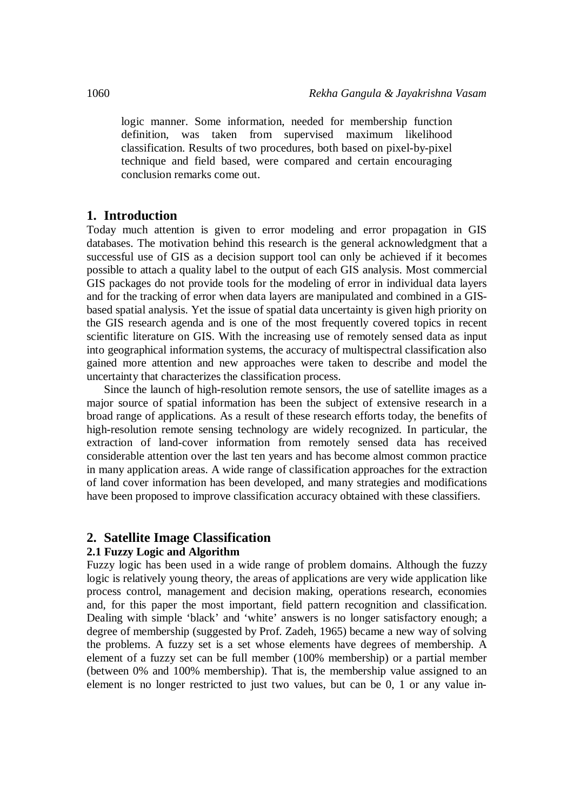logic manner. Some information, needed for membership function definition, was taken from supervised maximum likelihood classification. Results of two procedures, both based on pixel-by-pixel technique and field based, were compared and certain encouraging conclusion remarks come out.

## **1. Introduction**

Today much attention is given to error modeling and error propagation in GIS databases. The motivation behind this research is the general acknowledgment that a successful use of GIS as a decision support tool can only be achieved if it becomes possible to attach a quality label to the output of each GIS analysis. Most commercial GIS packages do not provide tools for the modeling of error in individual data layers and for the tracking of error when data layers are manipulated and combined in a GISbased spatial analysis. Yet the issue of spatial data uncertainty is given high priority on the GIS research agenda and is one of the most frequently covered topics in recent scientific literature on GIS. With the increasing use of remotely sensed data as input into geographical information systems, the accuracy of multispectral classification also gained more attention and new approaches were taken to describe and model the uncertainty that characterizes the classification process.

Since the launch of high-resolution remote sensors, the use of satellite images as a major source of spatial information has been the subject of extensive research in a broad range of applications. As a result of these research efforts today, the benefits of high-resolution remote sensing technology are widely recognized. In particular, the extraction of land-cover information from remotely sensed data has received considerable attention over the last ten years and has become almost common practice in many application areas. A wide range of classification approaches for the extraction of land cover information has been developed, and many strategies and modifications have been proposed to improve classification accuracy obtained with these classifiers.

## **2. Satellite Image Classification**

#### **2.1 Fuzzy Logic and Algorithm**

Fuzzy logic has been used in a wide range of problem domains. Although the fuzzy logic is relatively young theory, the areas of applications are very wide application like process control, management and decision making, operations research, economies and, for this paper the most important, field pattern recognition and classification. Dealing with simple 'black' and 'white' answers is no longer satisfactory enough; a degree of membership (suggested by Prof. Zadeh, 1965) became a new way of solving the problems. A fuzzy set is a set whose elements have degrees of membership. A element of a fuzzy set can be full member (100% membership) or a partial member (between 0% and 100% membership). That is, the membership value assigned to an element is no longer restricted to just two values, but can be 0, 1 or any value in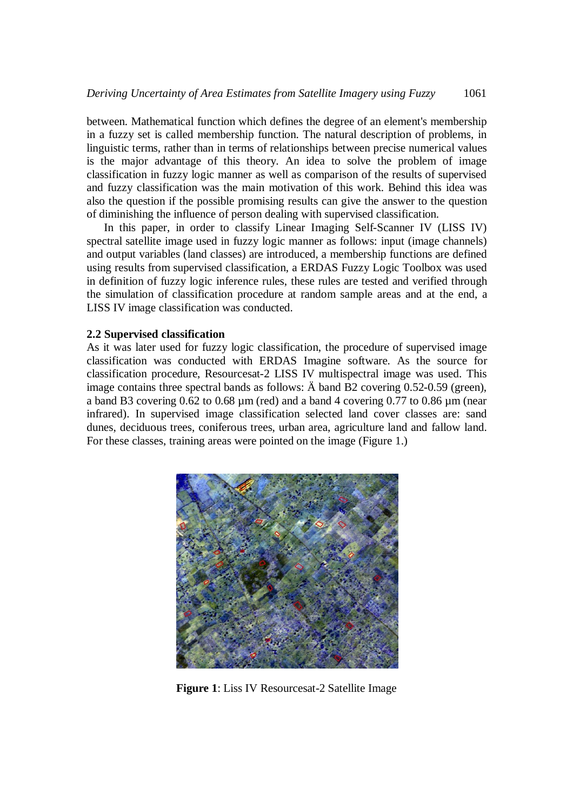between. Mathematical function which defines the degree of an element's membership in a fuzzy set is called membership function. The natural description of problems, in linguistic terms, rather than in terms of relationships between precise numerical values is the major advantage of this theory. An idea to solve the problem of image classification in fuzzy logic manner as well as comparison of the results of supervised and fuzzy classification was the main motivation of this work. Behind this idea was also the question if the possible promising results can give the answer to the question of diminishing the influence of person dealing with supervised classification.

In this paper, in order to classify Linear Imaging Self-Scanner IV (LISS IV) spectral satellite image used in fuzzy logic manner as follows: input (image channels) and output variables (land classes) are introduced, a membership functions are defined using results from supervised classification, a ERDAS Fuzzy Logic Toolbox was used in definition of fuzzy logic inference rules, these rules are tested and verified through the simulation of classification procedure at random sample areas and at the end, a LISS IV image classification was conducted.

#### **2.2 Supervised classification**

As it was later used for fuzzy logic classification, the procedure of supervised image classification was conducted with ERDAS Imagine software. As the source for classification procedure, Resourcesat-2 LISS IV multispectral image was used. This image contains three spectral bands as follows: Ä band B2 covering 0.52-0.59 (green), a band B3 covering  $0.62$  to  $0.68 \mu m$  (red) and a band 4 covering  $0.77$  to  $0.86 \mu m$  (near infrared). In supervised image classification selected land cover classes are: sand dunes, deciduous trees, coniferous trees, urban area, agriculture land and fallow land. For these classes, training areas were pointed on the image (Figure 1.)



**Figure 1**: Liss IV Resourcesat-2 Satellite Image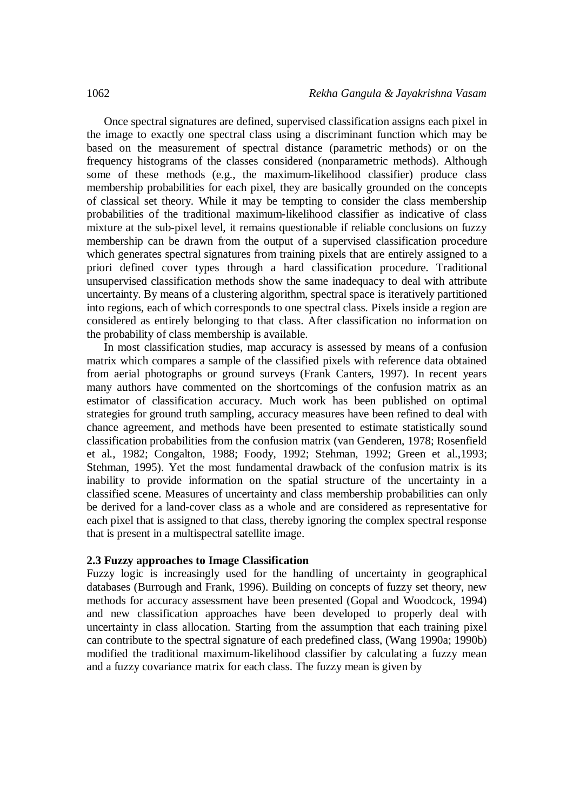Once spectral signatures are defined, supervised classification assigns each pixel in the image to exactly one spectral class using a discriminant function which may be based on the measurement of spectral distance (parametric methods) or on the frequency histograms of the classes considered (nonparametric methods). Although some of these methods (e.g., the maximum-likelihood classifier) produce class membership probabilities for each pixel, they are basically grounded on the concepts of classical set theory. While it may be tempting to consider the class membership probabilities of the traditional maximum-likelihood classifier as indicative of class mixture at the sub-pixel level, it remains questionable if reliable conclusions on fuzzy membership can be drawn from the output of a supervised classification procedure which generates spectral signatures from training pixels that are entirely assigned to a priori defined cover types through a hard classification procedure. Traditional unsupervised classification methods show the same inadequacy to deal with attribute uncertainty. By means of a clustering algorithm, spectral space is iteratively partitioned into regions, each of which corresponds to one spectral class. Pixels inside a region are considered as entirely belonging to that class. After classification no information on the probability of class membership is available.

In most classification studies, map accuracy is assessed by means of a confusion matrix which compares a sample of the classified pixels with reference data obtained from aerial photographs or ground surveys (Frank Canters, 1997). In recent years many authors have commented on the shortcomings of the confusion matrix as an estimator of classification accuracy. Much work has been published on optimal strategies for ground truth sampling, accuracy measures have been refined to deal with chance agreement, and methods have been presented to estimate statistically sound classification probabilities from the confusion matrix (van Genderen, 1978; Rosenfield et al., 1982; Congalton, 1988; Foody, 1992; Stehman, 1992; Green et al.,1993; Stehman, 1995). Yet the most fundamental drawback of the confusion matrix is its inability to provide information on the spatial structure of the uncertainty in a classified scene. Measures of uncertainty and class membership probabilities can only be derived for a land-cover class as a whole and are considered as representative for each pixel that is assigned to that class, thereby ignoring the complex spectral response that is present in a multispectral satellite image.

#### **2.3 Fuzzy approaches to Image Classification**

Fuzzy logic is increasingly used for the handling of uncertainty in geographical databases (Burrough and Frank, 1996). Building on concepts of fuzzy set theory, new methods for accuracy assessment have been presented (Gopal and Woodcock, 1994) and new classification approaches have been developed to properly deal with uncertainty in class allocation. Starting from the assumption that each training pixel can contribute to the spectral signature of each predefined class, (Wang 1990a; 1990b) modified the traditional maximum-likelihood classifier by calculating a fuzzy mean and a fuzzy covariance matrix for each class. The fuzzy mean is given by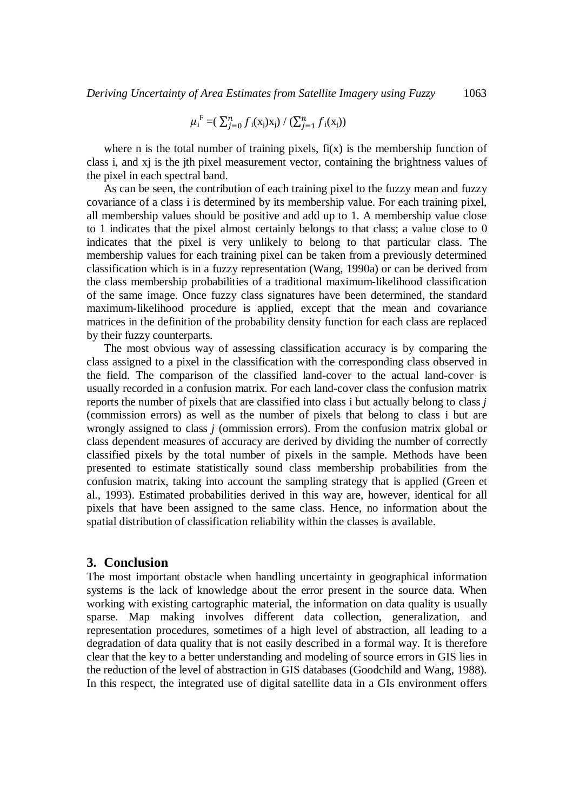$$
\mu_{i}^{F} = (\sum_{j=0}^{n} f_{i}(x_{j})x_{j}) / (\sum_{j=1}^{n} f_{i}(x_{j}))
$$

where n is the total number of training pixels,  $f(x)$  is the membership function of class i, and xj is the jth pixel measurement vector, containing the brightness values of the pixel in each spectral band.

As can be seen, the contribution of each training pixel to the fuzzy mean and fuzzy covariance of a class i is determined by its membership value. For each training pixel, all membership values should be positive and add up to 1. A membership value close to 1 indicates that the pixel almost certainly belongs to that class; a value close to 0 indicates that the pixel is very unlikely to belong to that particular class. The membership values for each training pixel can be taken from a previously determined classification which is in a fuzzy representation (Wang, 1990a) or can be derived from the class membership probabilities of a traditional maximum-likelihood classification of the same image. Once fuzzy class signatures have been determined, the standard maximum-likelihood procedure is applied, except that the mean and covariance matrices in the definition of the probability density function for each class are replaced by their fuzzy counterparts.

The most obvious way of assessing classification accuracy is by comparing the class assigned to a pixel in the classification with the corresponding class observed in the field. The comparison of the classified land-cover to the actual land-cover is usually recorded in a confusion matrix. For each land-cover class the confusion matrix reports the number of pixels that are classified into class i but actually belong to class *j* (commission errors) as well as the number of pixels that belong to class i but are wrongly assigned to class *j* (ommission errors). From the confusion matrix global or class dependent measures of accuracy are derived by dividing the number of correctly classified pixels by the total number of pixels in the sample. Methods have been presented to estimate statistically sound class membership probabilities from the confusion matrix, taking into account the sampling strategy that is applied (Green et al., 1993). Estimated probabilities derived in this way are, however, identical for all pixels that have been assigned to the same class. Hence, no information about the spatial distribution of classification reliability within the classes is available.

## **3. Conclusion**

The most important obstacle when handling uncertainty in geographical information systems is the lack of knowledge about the error present in the source data. When working with existing cartographic material, the information on data quality is usually sparse. Map making involves different data collection, generalization, and representation procedures, sometimes of a high level of abstraction, all leading to a degradation of data quality that is not easily described in a formal way. It is therefore clear that the key to a better understanding and modeling of source errors in GIS lies in the reduction of the level of abstraction in GIS databases (Goodchild and Wang, 1988). In this respect, the integrated use of digital satellite data in a GIs environment offers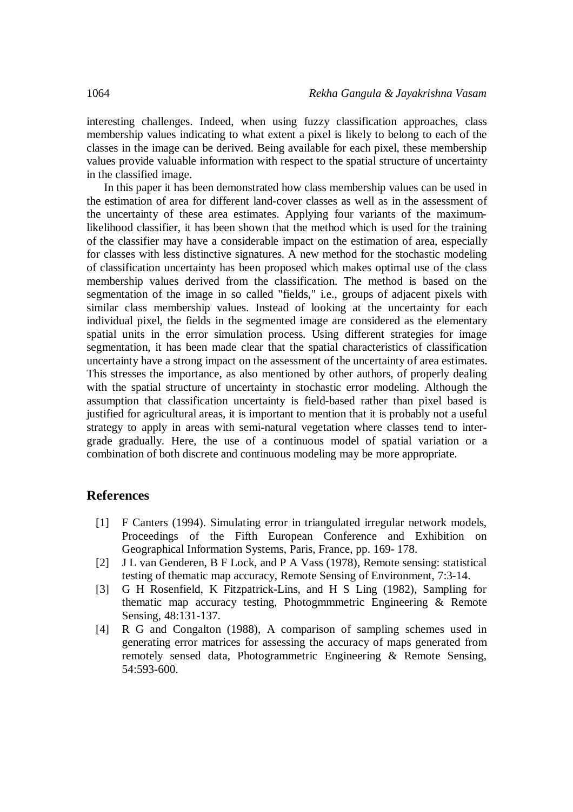interesting challenges. Indeed, when using fuzzy classification approaches, class membership values indicating to what extent a pixel is likely to belong to each of the classes in the image can be derived. Being available for each pixel, these membership values provide valuable information with respect to the spatial structure of uncertainty in the classified image.

In this paper it has been demonstrated how class membership values can be used in the estimation of area for different land-cover classes as well as in the assessment of the uncertainty of these area estimates. Applying four variants of the maximumlikelihood classifier, it has been shown that the method which is used for the training of the classifier may have a considerable impact on the estimation of area, especially for classes with less distinctive signatures. A new method for the stochastic modeling of classification uncertainty has been proposed which makes optimal use of the class membership values derived from the classification. The method is based on the segmentation of the image in so called "fields," i.e., groups of adjacent pixels with similar class membership values. Instead of looking at the uncertainty for each individual pixel, the fields in the segmented image are considered as the elementary spatial units in the error simulation process. Using different strategies for image segmentation, it has been made clear that the spatial characteristics of classification uncertainty have a strong impact on the assessment of the uncertainty of area estimates. This stresses the importance, as also mentioned by other authors, of properly dealing with the spatial structure of uncertainty in stochastic error modeling. Although the assumption that classification uncertainty is field-based rather than pixel based is justified for agricultural areas, it is important to mention that it is probably not a useful strategy to apply in areas with semi-natural vegetation where classes tend to intergrade gradually. Here, the use of a continuous model of spatial variation or a combination of both discrete and continuous modeling may be more appropriate.

## **References**

- [1] F Canters (1994). Simulating error in triangulated irregular network models, Proceedings of the Fifth European Conference and Exhibition on Geographical Information Systems, Paris, France, pp. 169- 178.
- [2] J L van Genderen, B F Lock, and P A Vass (1978), Remote sensing: statistical testing of thematic map accuracy, Remote Sensing of Environment, 7:3-14.
- [3] G H Rosenfield, K Fitzpatrick-Lins, and H S Ling (1982), Sampling for thematic map accuracy testing, Photogmmmetric Engineering & Remote Sensing, 48:131-137.
- [4] R G and Congalton (1988), A comparison of sampling schemes used in generating error matrices for assessing the accuracy of maps generated from remotely sensed data, Photogrammetric Engineering & Remote Sensing, 54:593-600.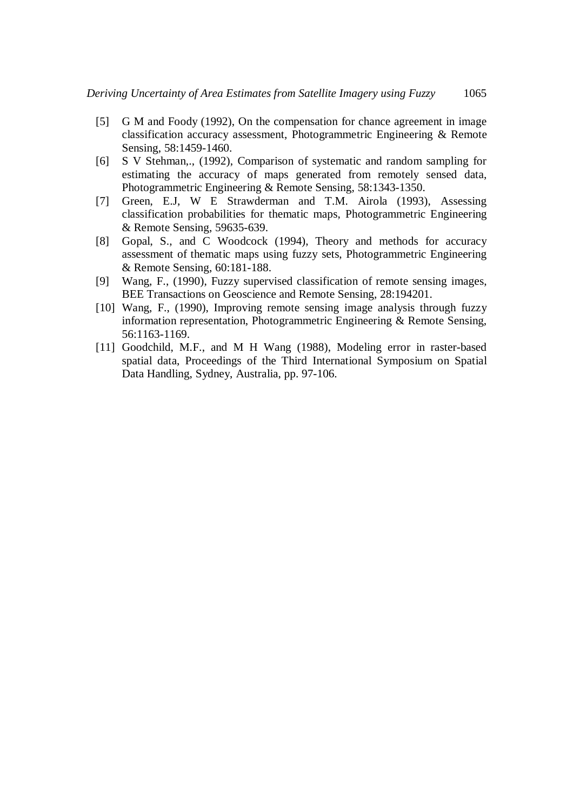- [5] G M and Foody (1992), On the compensation for chance agreement in image classification accuracy assessment, Photogrammetric Engineering & Remote Sensing, 58:1459-1460.
- [6] S V Stehman,., (1992), Comparison of systematic and random sampling for estimating the accuracy of maps generated from remotely sensed data, Photogrammetric Engineering & Remote Sensing, 58:1343-1350.
- [7] Green, E.J, W E Strawderman and T.M. Airola (1993), Assessing classification probabilities for thematic maps, Photogrammetric Engineering & Remote Sensing, 59635-639.
- [8] Gopal, S., and C Woodcock (1994), Theory and methods for accuracy assessment of thematic maps using fuzzy sets, Photogrammetric Engineering & Remote Sensing, 60:181-188.
- [9] Wang, F., (1990), Fuzzy supervised classification of remote sensing images, BEE Transactions on Geoscience and Remote Sensing, 28:194201.
- [10] Wang, F., (1990), Improving remote sensing image analysis through fuzzy information representation, Photogrammetric Engineering & Remote Sensing, 56:1163-1169.
- [11] Goodchild, M.F., and M H Wang (1988), Modeling error in raster-based spatial data, Proceedings of the Third International Symposium on Spatial Data Handling, Sydney, Australia, pp. 97-106.